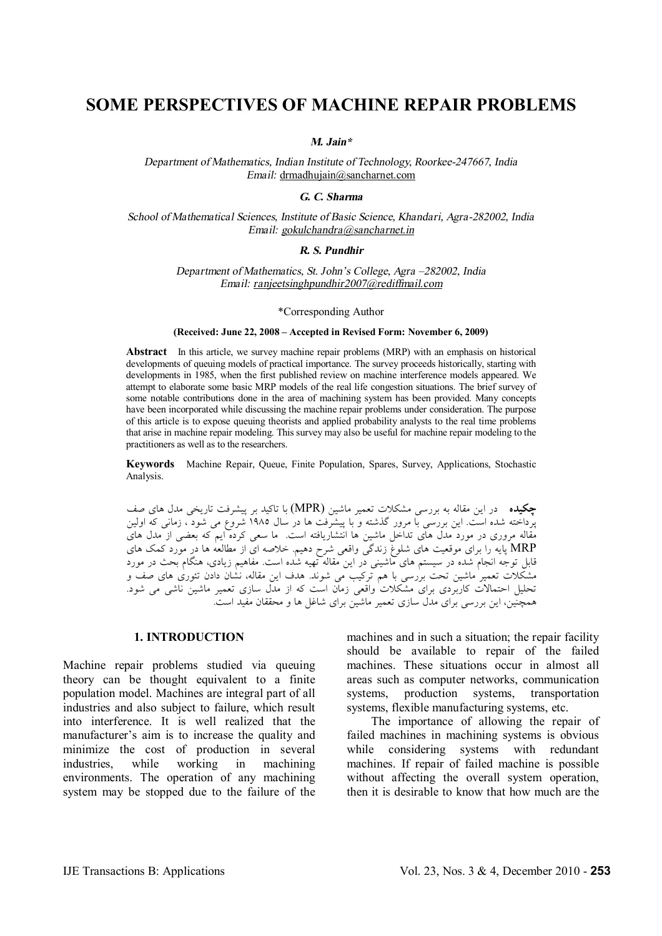# **SOME PERSPECTIVES OF MACHINE REPAIR PROBLEMS**

*M. Jain\**

*Department of Mathematics, Indian Institute of Technology, Roorkee-247667, India Email:* [drmadhujain@sancharnet.com](mailto:drmadhujain@sancharnet.com)

*G. C. Sharma*

*School of Mathematical Sciences, Institute of Basic Science, Khandari, Agra-282002, India Email: [gokulchandra@sancharnet.in](mailto:gokulchandra@sancharnet.in)*

# *R. S. Pundhir*

*Department of Mathematics, St. John'<sup>s</sup> College, Agra –282002, India Email: [ranjeetsinghpundhir2007@rediffmail.com](mailto:ranjeetsinghpundhir2007@rediffmail.com)*

#### \*Corresponding Author

#### **(Received: June 22, 2008 – Accepted in Revised Form: November 6, 2009)**

**Abstract** In this article, we survey machine repair problems (MRP) with an emphasis on historical developments of queuing models of practical importance. The survey proceeds historically, starting with developments in 1985, when the first published review on machine interference models appeared. We attempt to elaborate some basic MRP models of the real life congestion situations. The brief survey of some notable contributions done in the area of machining system has been provided. Many concepts have been incorporated while discussing the machine repair problems under consideration. The purpose of this article is to expose queuing theorists and applied probability analysts to the real time problems that arise in machine repair modeling. This survey may also be useful for machine repair modeling to the practitioners as well as to the researchers.

**Keywords** Machine Repair, Queue, Finite Population, Spares, Survey, Applications, Stochastic Analysis.

**چکیده** در این مقاله به بررسی مشکلات تعمیر ماشین (MPR (با تاکید بر پیشرفت تاریخی مدل هاي صف پرداخته شده است. این بررسی با مرور گذشته و با پیشرفت ها در سال 1985 شروع می شود ، زمانی که اولین مقاله مروري در مورد مدل هاي تداخل ماشین ها انتشاریافته است. ما سعی کرده ایم که بعضی از مدل هاي MRP پایه را براي موقعیت هاي شلوغ زندگی واقعی شرح دهیم. خلاصه اي از مطالعه ها در مورد کمک هاي قابل توجه انجام شده در سیستم هاي ماشینی در این مقاله تهیه شده است. مفاهیم زیادي، هنگام بحث در مورد مشکلات تعمیر ماشین تحت بررسی با هم ترکیب می شوند. هدف این مقاله، نشان دادن تئوري هاي صف و تحلیل احتمالات کاربردي براي مشکلات واقعی زمان است که از مدل سازي تعمیر ماشین ناشی می شود. همچنین، این بررسی براي مدل سازي تعمیر ماشین براي شاغل ها و محققان مفید است.

# **1. INTRODUCTION**

Machine repair problems studied via queuing theory can be thought equivalent to a finite population model. Machines are integral part of all industries and also subject to failure, which result into interference. It is well realized that the manufacturer's aim is to increase the quality and minimize the cost of production in several industries, while working in machining environments. The operation of any machining system may be stopped due to the failure of the

machines and in such a situation; the repair facility should be available to repair of the failed machines. These situations occur in almost all areas such as computer networks, communication systems, production systems, transportation systems, flexible manufacturing systems, etc.

 The importance of allowing the repair of failed machines in machining systems is obvious while considering systems with redundant machines. If repair of failed machine is possible without affecting the overall system operation, then it is desirable to know that how much are the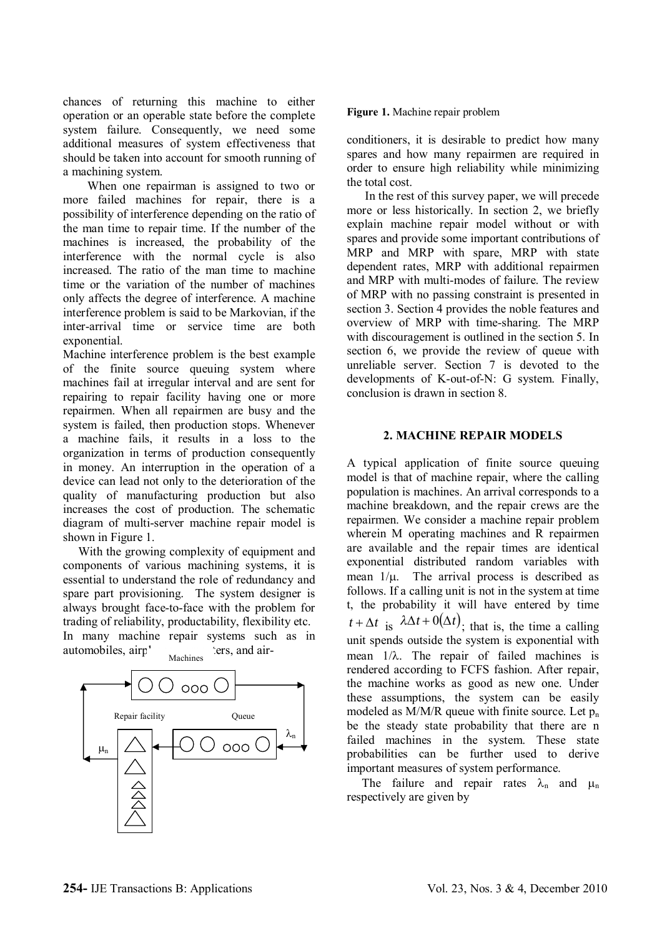chances of returning this machine to either operation or an operable state before the complete system failure. Consequently, we need some additional measures of system effectiveness that should be taken into account for smooth running of a machining system.

 When one repairman is assigned to two or more failed machines for repair, there is a possibility of interference depending on the ratio of the man time to repair time. If the number of the machines is increased, the probability of the interference with the normal cycle is also increased. The ratio of the man time to machine time or the variation of the number of machines only affects the degree of interference. A machine interference problem is said to be Markovian, if the inter-arrival time or service time are both exponential.

Machine interference problem is the best example of the finite source queuing system where machines fail at irregular interval and are sent for repairing to repair facility having one or more repairmen. When all repairmen are busy and the system is failed, then production stops. Whenever a machine fails, it results in a loss to the organization in terms of production consequently in money. An interruption in the operation of a device can lead not only to the deterioration of the quality of manufacturing production but also increases the cost of production. The schematic diagram of multi-server machine repair model is shown in Figure 1.

 With the growing complexity of equipment and components of various machining systems, it is essential to understand the role of redundancy and spare part provisioning. The system designer is always brought face-to-face with the problem for trading of reliability, productability, flexibility etc. In many machine repair systems such as in automobiles, airp<sup>1</sup> and air-Machines



## **Figure 1.** Machine repair problem

conditioners, it is desirable to predict how many spares and how many repairmen are required in order to ensure high reliability while minimizing the total cost.

 In the rest of this survey paper, we will precede more or less historically. In section 2, we briefly explain machine repair model without or with spares and provide some important contributions of MRP and MRP with spare, MRP with state dependent rates, MRP with additional repairmen and MRP with multi-modes of failure. The review of MRP with no passing constraint is presented in section 3. Section 4 provides the noble features and overview of MRP with time-sharing. The MRP with discouragement is outlined in the section 5. In section 6, we provide the review of queue with unreliable server. Section 7 is devoted to the developments of K-out-of-N: G system. Finally, conclusion is drawn in section 8.

# **2. MACHINE REPAIR MODELS**

A typical application of finite source queuing model is that of machine repair, where the calling population is machines. An arrival corresponds to a machine breakdown, and the repair crews are the repairmen. We consider a machine repair problem wherein M operating machines and R repairmen are available and the repair times are identical exponential distributed random variables with mean  $1/\mu$ . The arrival process is described as follows. If a calling unit is not in the system at time t, the probability it will have entered by time  $t + \Delta t$  is  $\lambda \Delta t + O(\Delta t)$ ; that is, the time a calling unit spends outside the system is exponential with mean  $1/\lambda$ . The repair of failed machines is rendered according to FCFS fashion. After repair, the machine works as good as new one. Under these assumptions, the system can be easily modeled as  $M/M/R$  queue with finite source. Let  $p_n$ be the steady state probability that there are n failed machines in the system. These state probabilities can be further used to derive important measures of system performance.

The failure and repair rates  $\lambda_n$  and  $\mu_n$ respectively are given by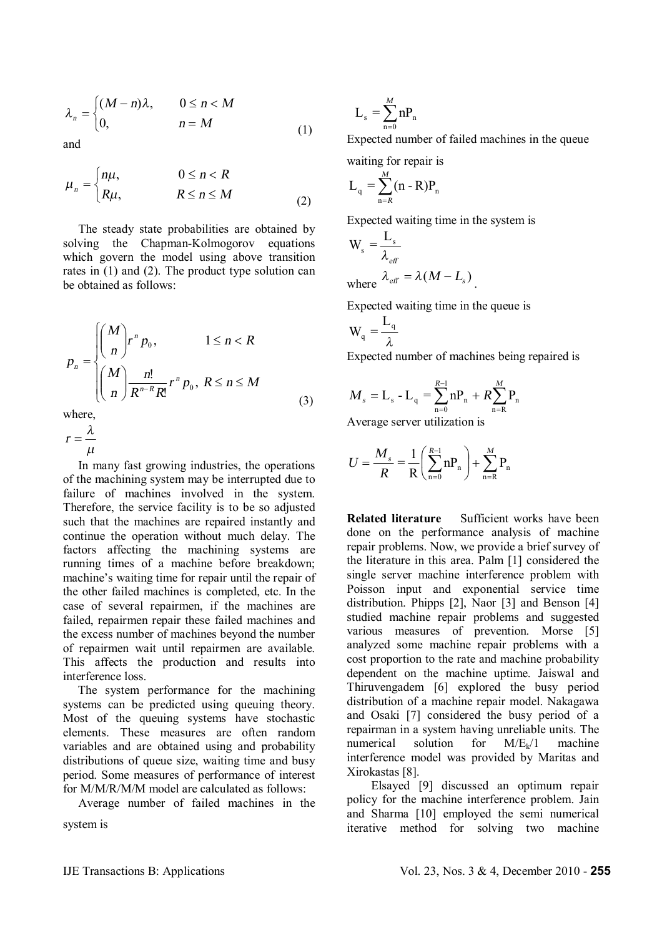$$
\lambda_n = \begin{cases} (M-n)\lambda, & 0 \le n < M \\ 0, & n = M \end{cases}
$$
 (1)

and

$$
\mu_n = \begin{cases} n\mu, & 0 \le n < R \\ R\mu, & R \le n \le M \end{cases} \tag{2}
$$

 The steady state probabilities are obtained by solving the Chapman-Kolmogorov equations which govern the model using above transition rates in (1) and (2). The product type solution can be obtained as follows:

$$
p_n = \begin{cases} \binom{M}{n} r^n p_0, & 1 \le n < R \\ \binom{M}{n} \frac{n!}{R^{n-R} R!} r^n p_0, & R \le n \le M \end{cases}
$$
\n(3)

where

*m*  $r = \frac{\lambda}{\lambda}$ 

 In many fast growing industries, the operations of the machining system may be interrupted due to failure of machines involved in the system. Therefore, the service facility is to be so adjusted such that the machines are repaired instantly and continue the operation without much delay. The factors affecting the machining systems are running times of a machine before breakdown; machine's waiting time for repair until the repair of the other failed machines is completed, etc. In the case of several repairmen, if the machines are failed, repairmen repair these failed machines and the excess number of machines beyond the number of repairmen wait until repairmen are available. This affects the production and results into interference loss.

 The system performance for the machining systems can be predicted using queuing theory. Most of the queuing systems have stochastic elements. These measures are often random variables and are obtained using and probability distributions of queue size, waiting time and busy period. Some measures of performance of interest for M/M/R/M/M model are calculated as follows:

Average number of failed machines in the

system is

$$
L_s = \sum_{n=0}^{M} nP_n
$$

Expected number of failed machines in the queue

waiting for repair is  
\n
$$
L_q = \sum_{n=R}^{M} (n - R)P_n
$$

Expected waiting time in the system is

$$
W_s = \frac{L_s}{\lambda_{\text{eff}}}
$$
  
where  $\lambda_{\text{eff}} = \lambda (M - L_s)$ .

Expected waiting time in the queue is

$$
W_q = \frac{L_q}{\lambda}
$$

Expected number of machines being repaired is

$$
M_{s} = L_{s} - L_{q} = \sum_{n=0}^{R-1} nP_{n} + R \sum_{n=R}^{M} P_{n}
$$

Average server utilization is

$$
U = \frac{M_s}{R} = \frac{1}{R} \left( \sum_{n=0}^{R-1} nP_n \right) + \sum_{n=R}^{M} P_n
$$

**Related literature** Sufficient works have been done on the performance analysis of machine repair problems. Now, we provide a brief survey of the literature in this area. Palm [1] considered the single server machine interference problem with Poisson input and exponential service time distribution. Phipps [2], Naor [3] and Benson [4] studied machine repair problems and suggested various measures of prevention. Morse [5] analyzed some machine repair problems with a cost proportion to the rate and machine probability dependent on the machine uptime. Jaiswal and Thiruvengadem [6] explored the busy period distribution of a machine repair model. Nakagawa and Osaki [7] considered the busy period of a repairman in a system having unreliable units. The numerical solution for  $M/E_k/1$  machine interference model was provided by Maritas and Xirokastas [8].

 Elsayed [9] discussed an optimum repair policy for the machine interference problem. Jain and Sharma [10] employed the semi numerical iterative method for solving two machine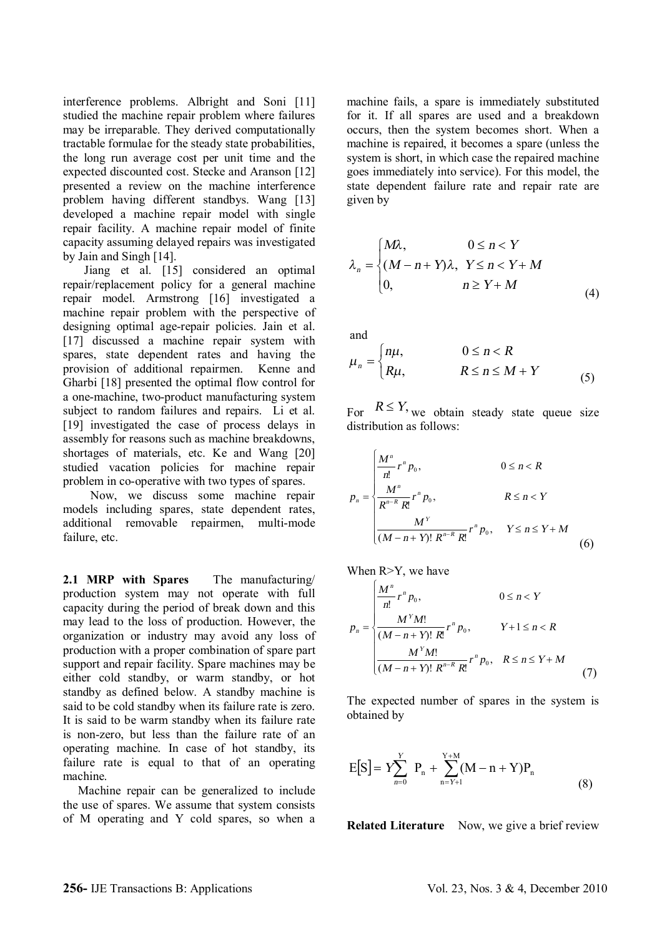interference problems. Albright and Soni [11] studied the machine repair problem where failures may be irreparable. They derived computationally tractable formulae for the steady state probabilities, the long run average cost per unit time and the expected discounted cost. Stecke and Aranson [12] presented a review on the machine interference problem having different standbys. Wang [13] developed a machine repair model with single repair facility. A machine repair model of finite capacity assuming delayed repairs was investigated by Jain and Singh [14].

 Jiang et al. [15] considered an optimal repair/replacement policy for a general machine repair model. Armstrong [16] investigated a machine repair problem with the perspective of designing optimal age-repair policies. Jain et al. [17] discussed a machine repair system with spares, state dependent rates and having the provision of additional repairmen. Kenne and Gharbi [18] presented the optimal flow control for a one-machine, two-product manufacturing system subject to random failures and repairs. Li et al. [19] investigated the case of process delays in assembly for reasons such as machine breakdowns, shortages of materials, etc. Ke and Wang [20] studied vacation policies for machine repair problem in co-operative with two types of spares.

 Now, we discuss some machine repair models including spares, state dependent rates, additional removable repairmen, multi-mode failure, etc.

**2.1 MRP with Spares** The manufacturing/ production system may not operate with full capacity during the period of break down and this may lead to the loss of production. However, the organization or industry may avoid any loss of production with a proper combination of spare part support and repair facility. Spare machines may be either cold standby, or warm standby, or hot standby as defined below. A standby machine is said to be cold standby when its failure rate is zero. It is said to be warm standby when its failure rate is non-zero, but less than the failure rate of an operating machine. In case of hot standby, its failure rate is equal to that of an operating machine.

 Machine repair can be generalized to include the use of spares. We assume that system consists of M operating and Y cold spares, so when a machine fails, a spare is immediately substituted for it. If all spares are used and a breakdown occurs, then the system becomes short. When a machine is repaired, it becomes a spare (unless the system is short, in which case the repaired machine goes immediately into service). For this model, the state dependent failure rate and repair rate are given by

$$
\lambda_n = \begin{cases} M\lambda, & 0 \le n < Y \\ (M - n + Y)\lambda, & Y \le n < Y + M \\ 0, & n \ge Y + M \end{cases}
$$
 (4)

and

$$
\mu_n = \begin{cases} n\mu, & 0 \le n < R \\ R\mu, & R \le n \le M + Y \end{cases}
$$
 (5)

For  $R \leq Y$ , we obtain steady state queue size distribution as follows:

$$
p_{n} = \begin{cases} \frac{M^{n}}{n!} r^{n} p_{0}, & 0 \leq n < R \\ \frac{M^{n}}{R^{n-R} R!} r^{n} p_{0}, & R \leq n < Y \\ \frac{M^{Y}}{(M-n+Y)! R^{n-R} R!} r^{n} p_{0}, & Y \leq n \leq Y + M \end{cases}
$$
(6)

When R>Y, we have

$$
p_{n} = \begin{cases} \frac{M^{n}}{n!} r^{n} p_{0}, & 0 \leq n < Y \\ \frac{M^{Y} M!}{(M - n + Y)! R!} r^{n} p_{0}, & Y + 1 \leq n < R \\ \frac{M^{Y} M!}{(M - n + Y)! R^{n-R} R!} r^{n} p_{0}, & R \leq n \leq Y + M \\ (7) \end{cases}
$$

The expected number of spares in the system is obtained by

$$
E[S] = Y \sum_{n=0}^{Y} P_n + \sum_{n=Y+1}^{Y+M} (M - n + Y) P_n
$$
\n(8)

**Related Literature** Now, we give a brief review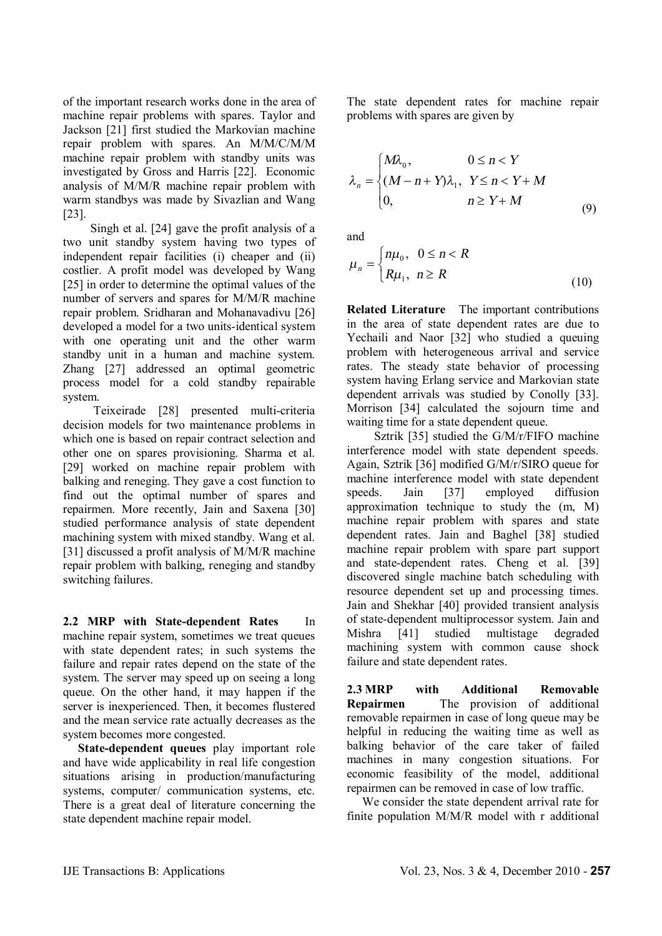of the important research works done in the area of machine repair problems with spares. Taylor and Jackson [21] first studied the Markovian machine repair problem with spares. An M/M/C/M/M machine repair problem with standby units was investigated by Gross and Harris [22]. Economic analysis of M/M/R machine repair problem with warm standbys was made by Sivazlian and Wang [23].

 Singh et al. [24] gave the profit analysis of a two unit standby system having two types of independent repair facilities (i) cheaper and (ii) costlier. A profit model was developed by Wang [25] in order to determine the optimal values of the number of servers and spares for M/M/R machine repair problem. Sridharan and Mohanavadivu [26] developed a model for a two units-identical system with one operating unit and the other warm standby unit in a human and machine system. Zhang [27] addressed an optimal geometric process model for a cold standby repairable system.

 Teixeirade [28] presented multi-criteria decision models for two maintenance problems in which one is based on repair contract selection and other one on spares provisioning. Sharma et al. [29] worked on machine repair problem with balking and reneging. They gave a cost function to find out the optimal number of spares and repairmen. More recently, Jain and Saxena [30] studied performance analysis of state dependent machining system with mixed standby. Wang et al. [31] discussed a profit analysis of M/M/R machine repair problem with balking, reneging and standby switching failures.

**2.2 MRP with State-dependent Rates** In machine repair system, sometimes we treat queues with state dependent rates; in such systems the failure and repair rates depend on the state of the system. The server may speed up on seeing a long queue. On the other hand, it may happen if the server is inexperienced. Then, it becomes flustered and the mean service rate actually decreases as the system becomes more congested.

 **State-dependent queues** play important role and have wide applicability in real life congestion situations arising in production/manufacturing systems, computer/ communication systems, etc. There is a great deal of literature concerning the state dependent machine repair model.

The state dependent rates for machine repair problems with spares are given by

$$
\lambda_n = \begin{cases} M\lambda_0, & 0 \le n < Y \\ (M - n + Y)\lambda_1, & Y \le n < Y + M \\ 0, & n \ge Y + M \end{cases}
$$
 (9)

and

$$
\mu_n = \begin{cases} n\mu_0, & 0 \le n < R \\ R\mu_1, & n \ge R \end{cases}
$$
 (10)

**Related Literature** The important contributions in the area of state dependent rates are due to Yechaili and Naor [32] who studied a queuing problem with heterogeneous arrival and service rates. The steady state behavior of processing system having Erlang service and Markovian state dependent arrivals was studied by Conolly [33]. Morrison [34] calculated the sojourn time and waiting time for a state dependent queue.

 Sztrik [35] studied the G/M/r/FIFO machine interference model with state dependent speeds. Again, Sztrik [36] modified G/M/r/SIRO queue for machine interference model with state dependent speeds. Jain [37] employed diffusion approximation technique to study the (m, M) machine repair problem with spares and state dependent rates. Jain and Baghel [38] studied machine repair problem with spare part support and state-dependent rates. Cheng et al. [39] discovered single machine batch scheduling with resource dependent set up and processing times. Jain and Shekhar [40] provided transient analysis of state-dependent multiprocessor system. Jain and Mishra [41] studied multistage degraded machining system with common cause shock failure and state dependent rates.

**2.3 MRP with Additional Removable Repairmen** The provision of additional removable repairmen in case of long queue may be helpful in reducing the waiting time as well as balking behavior of the care taker of failed machines in many congestion situations. For economic feasibility of the model, additional repairmen can be removed in case of low traffic.

 We consider the state dependent arrival rate for finite population M/M/R model with r additional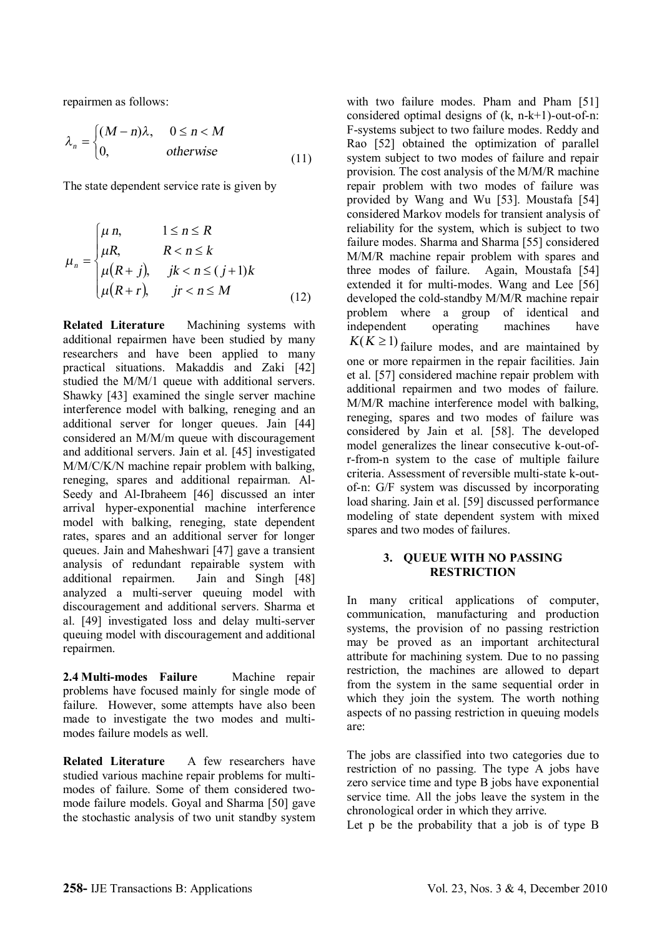repairmen as follows:

$$
\lambda_n = \begin{cases} (M-n)\lambda, & 0 \le n < M \\ 0, & \text{otherwise} \end{cases}
$$
 (11)

The state dependent service rate is given by

$$
\mu_n = \begin{cases}\n\mu n, & 1 \le n \le R \\
\mu R, & R < n \le k \\
\mu (R+j), & jk < n \le (j+1)k \\
\mu (R+r), & jr < n \le M\n\end{cases}
$$
\n(12)

**Related Literature** Machining systems with additional repairmen have been studied by many researchers and have been applied to many practical situations. Makaddis and Zaki [42] studied the M/M/1 queue with additional servers. Shawky [43] examined the single server machine interference model with balking, reneging and an additional server for longer queues. Jain [44] considered an M/M/m queue with discouragement and additional servers. Jain et al. [45] investigated M/M/C/K/N machine repair problem with balking, reneging, spares and additional repairman. Al-Seedy and Al-Ibraheem [46] discussed an inter arrival hyper-exponential machine interference model with balking, reneging, state dependent rates, spares and an additional server for longer queues. Jain and Maheshwari [47] gave a transient analysis of redundant repairable system with additional repairmen. Jain and Singh [48] analyzed a multi-server queuing model with discouragement and additional servers. Sharma et al. [49] investigated loss and delay multi-server queuing model with discouragement and additional repairmen.

**2.4 Multi-modes Failure** Machine repair problems have focused mainly for single mode of failure. However, some attempts have also been made to investigate the two modes and multimodes failure models as well.

**Related Literature** A few researchers have studied various machine repair problems for multimodes of failure. Some of them considered twomode failure models. Goyal and Sharma [50] gave the stochastic analysis of two unit standby system with two failure modes. Pham and Pham [51] considered optimal designs of  $(k, n-k+1)$ -out-of-n: F-systems subject to two failure modes. Reddy and Rao [52] obtained the optimization of parallel system subject to two modes of failure and repair provision. The cost analysis of the M/M/R machine repair problem with two modes of failure was provided by Wang and Wu [53]. Moustafa [54] considered Markov models for transient analysis of reliability for the system, which is subject to two failure modes. Sharma and Sharma [55] considered M/M/R machine repair problem with spares and three modes of failure. Again, Moustafa [54] extended it for multi-modes. Wang and Lee [56] developed the cold-standby M/M/R machine repair problem where a group of identical and independent operating machines have  $K(K \ge 1)$  failure modes, and are maintained by one or more repairmen in the repair facilities. Jain et al. [57] considered machine repair problem with additional repairmen and two modes of failure. M/M/R machine interference model with balking, reneging, spares and two modes of failure was considered by Jain et al. [58]. The developed model generalizes the linear consecutive k-out-ofr-from-n system to the case of multiple failure criteria. Assessment of reversible multi-state k-outof-n: G/F system was discussed by incorporating load sharing. Jain et al. [59] discussed performance modeling of state dependent system with mixed spares and two modes of failures.

# **3. QUEUE WITH NO PASSING RESTRICTION**

In many critical applications of computer, communication, manufacturing and production systems, the provision of no passing restriction may be proved as an important architectural attribute for machining system. Due to no passing restriction, the machines are allowed to depart from the system in the same sequential order in which they join the system. The worth nothing aspects of no passing restriction in queuing models are:

The jobs are classified into two categories due to restriction of no passing. The type A jobs have zero service time and type B jobs have exponential service time. All the jobs leave the system in the chronological order in which they arrive.

Let p be the probability that a job is of type B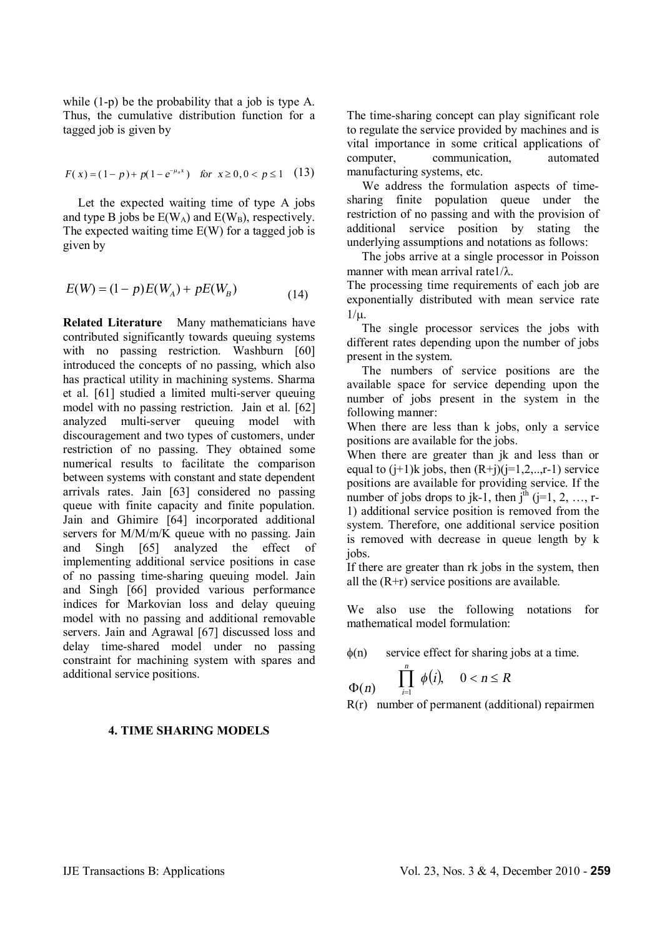while (1-p) be the probability that a job is type A. Thus, the cumulative distribution function for a tagged job is given by

$$
F(x) = (1-p) + p(1 - e^{-\mu_n x}) \quad \text{for } x \ge 0, 0 < p \le 1 \quad (13)
$$

 Let the expected waiting time of type A jobs and type B jobs be  $E(W_A)$  and  $E(W_B)$ , respectively. The expected waiting time E(W) for a tagged job is given by

$$
E(W) = (1 - p)E(W_A) + pE(W_B)
$$
 (14)

**Related Literature** Many mathematicians have contributed significantly towards queuing systems with no passing restriction. Washburn [60] introduced the concepts of no passing, which also has practical utility in machining systems. Sharma et al. [61] studied a limited multi-server queuing model with no passing restriction. Jain et al. [62] analyzed multi-server queuing model with discouragement and two types of customers, under restriction of no passing. They obtained some numerical results to facilitate the comparison between systems with constant and state dependent arrivals rates. Jain [63] considered no passing queue with finite capacity and finite population. Jain and Ghimire [64] incorporated additional servers for M/M/m/K queue with no passing. Jain and Singh [65] analyzed the effect of implementing additional service positions in case of no passing time-sharing queuing model. Jain and Singh [66] provided various performance indices for Markovian loss and delay queuing model with no passing and additional removable servers. Jain and Agrawal [67] discussed loss and delay time-shared model under no passing constraint for machining system with spares and additional service positions.

#### **4. TIME SHARING MODELS**

The time-sharing concept can play significant role to regulate the service provided by machines and is vital importance in some critical applications of computer, communication, automated manufacturing systems, etc.

 We address the formulation aspects of timesharing finite population queue under the restriction of no passing and with the provision of additional service position by stating the underlying assumptions and notations as follows:

 The jobs arrive at a single processor in Poisson manner with mean arrival rate $1/\lambda$ .

The processing time requirements of each job are exponentially distributed with mean service rate  $1/u$ .

 The single processor services the jobs with different rates depending upon the number of jobs present in the system.

 The numbers of service positions are the available space for service depending upon the number of jobs present in the system in the following manner:

When there are less than k jobs, only a service positions are available for the jobs.

When there are greater than jk and less than or equal to  $(i+1)$ k jobs, then  $(R+j)(i=1,2,...,r-1)$  service positions are available for providing service. If the number of jobs drops to jk-1, then  $j<sup>th</sup>$  (j=1, 2, …, r-1) additional service position is removed from the system. Therefore, one additional service position is removed with decrease in queue length by k iobs.

If there are greater than rk jobs in the system, then all the  $(R+r)$  service positions are available.

We also use the following notations for mathematical model formulation:

 $\phi(n)$  service effect for sharing jobs at a time.

$$
\Phi(n) \qquad \prod_{i=1}^n \phi(i), \quad 0 < n \leq R
$$

R(r) number of permanent (additional) repairmen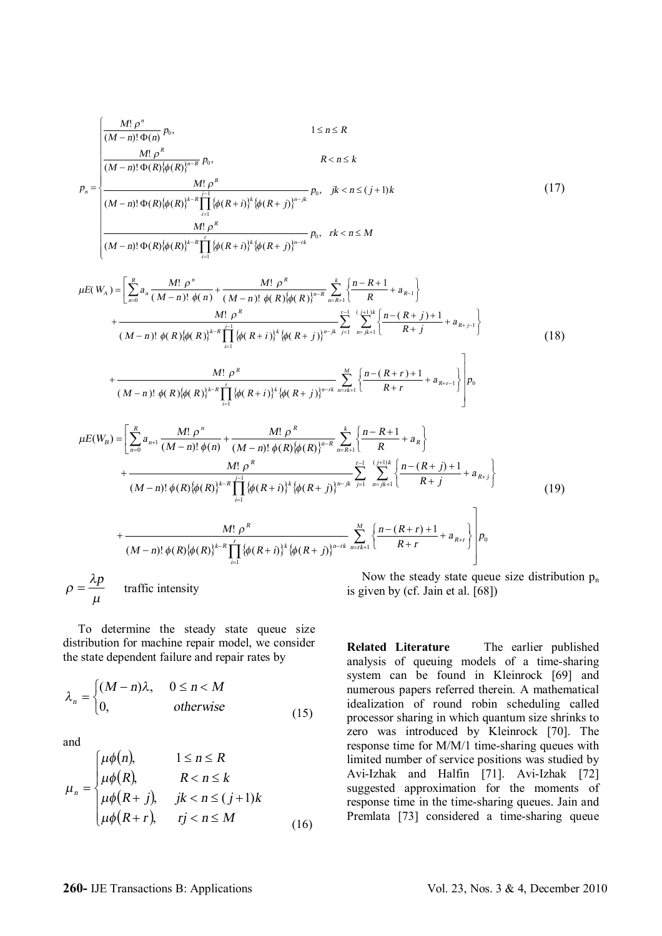$$
\int_{R} \frac{M! \rho^{n}}{(M-n)! \Phi(R) \phi(n)} p_{0}.
$$
\n1 \n
$$
= \frac{M! \rho^{R}}{(M-n)! \Phi(R) \phi(R) \phi(R)^{N-R}} p_{0}.
$$
\n
$$
P_{n} = \frac{M! \rho^{R}}{(M-n)! \Phi(R) \phi(R) \phi(R)^{N-R}} \prod_{i=1}^{n} \left\{ \phi(R+i)^{k} \phi(R+i)^{n-k} p_{0} \right\} p_{0}.
$$
\n
$$
R < n \leq k
$$
\n
$$
P_{n} = \frac{M! \rho^{R}}{(M-n)! \Phi(R) \phi(R) \phi(R)^{N-R}} \prod_{i=1}^{n} \left\{ \phi(R+i)^{k} \phi(R+i)^{n-k} p_{0} \right\} p_{0}.
$$
\n
$$
= \frac{1}{2} \int_{\pi=0}^{R} a_{n} \frac{M! \rho^{n}}{(M-n)! \phi(R) \phi(R)^{N-R}} \prod_{i=1}^{n} \left\{ \phi(R+i)^{k} \phi(R+i)^{n-k} \right\} p_{0}.
$$
\n
$$
= \frac{1}{2} \int_{\pi=0}^{1} \frac{(\pi^{1} + \pi^{2})}{(M-n)! \phi(R) \phi(R)^{N-R}} \prod_{i=1}^{n} \left\{ \phi(R+i)^{k} \phi(R+i)^{n-k} \right\} p_{0}.
$$
\n
$$
= \frac{1}{2} \int_{\pi=0}^{1} \frac{(\pi^{1} + \pi^{2})}{(M+i)^{n}} \frac{1}{2} p_{0}.
$$
\n
$$
= \frac{1}{2} \int_{\pi=0}^{1} \frac{(\pi^{1} + \pi^{2})}{(M-i)^{n}} \frac{1}{2} p_{0}.
$$
\n
$$
= \frac{1}{2} \int_{\pi=0}^{1} \frac{1}{2} p_{0}.
$$
\n
$$
= \frac{1}{2} \int_{\pi=0}^{1} \frac{1}{2} p_{0}.
$$
\n
$$
= \frac{1}{2} \int_{\pi=0}^{1} \frac{1}{2} p_{0}.
$$
\n
$$
= \frac{1}{2} \int_{\pi=0}^{1} \frac{1}{2} p_{0}.
$$
\n<

 To determine the steady state queue size distribution for machine repair model, we consider the state dependent failure and repair rates by

$$
\lambda_n = \begin{cases} (M-n)\lambda, & 0 \le n < M \\ 0, & \text{otherwise} \end{cases}
$$
 (15)

and

$$
\mu_n = \begin{cases}\n\mu \phi(n), & 1 \le n \le R \\
\mu \phi(R), & R < n \le k \\
\mu \phi(R+j), & jk < n \le (j+1)k \\
\mu \phi(R+r), & rj < n \le M\n\end{cases}
$$
\n(16)

 $\lim_{n \to \infty} p_n$ by (ci. Jain et al.

**Related Literature** The earlier published analysis of queuing models of a time-sharing system can be found in Kleinrock [69] and numerous papers referred therein. A mathematical idealization of round robin scheduling called processor sharing in which quantum size shrinks to zero was introduced by Kleinrock [70]. The response time for M/M/1 time-sharing queues with limited number of service positions was studied by Avi-Izhak and Halfin [71]. Avi-Izhak [72] suggested approximation for the moments of response time in the time-sharing queues. Jain and Premlata [73] considered a time-sharing queue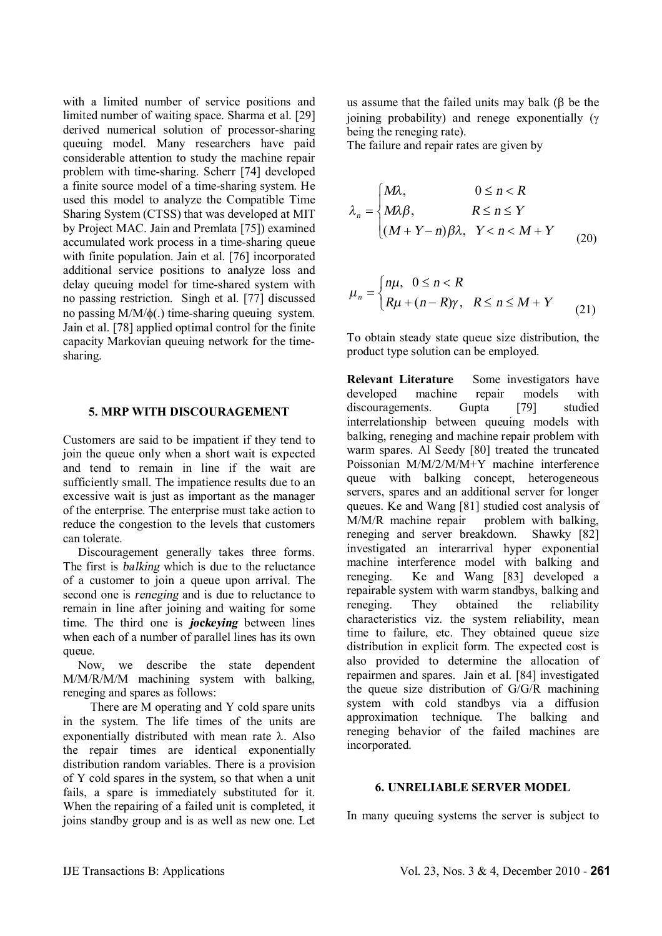with a limited number of service positions and limited number of waiting space. Sharma et al. [29] derived numerical solution of processor-sharing queuing model. Many researchers have paid considerable attention to study the machine repair problem with time-sharing. Scherr [74] developed a finite source model of a time-sharing system. He used this model to analyze the Compatible Time Sharing System (CTSS) that was developed at MIT by Project MAC. Jain and Premlata [75]) examined accumulated work process in a time-sharing queue with finite population. Jain et al. [76] incorporated additional service positions to analyze loss and delay queuing model for time-shared system with no passing restriction. Singh et al. [77] discussed no passing  $M/M/\phi$ (.) time-sharing queuing system. Jain et al. [78] applied optimal control for the finite capacity Markovian queuing network for the timesharing.

## **5. MRP WITH DISCOURAGEMENT**

Customers are said to be impatient if they tend to join the queue only when a short wait is expected and tend to remain in line if the wait are sufficiently small. The impatience results due to an excessive wait is just as important as the manager of the enterprise. The enterprise must take action to reduce the congestion to the levels that customers can tolerate.

 Discouragement generally takes three forms. The first is *balking* which is due to the reluctance of a customer to join a queue upon arrival. The second one is *reneging* and is due to reluctance to remain in line after joining and waiting for some time. The third one is *jockeying* between lines when each of a number of parallel lines has its own queue.

 Now, we describe the state dependent M/M/R/M/M machining system with balking, reneging and spares as follows:

 There are M operating and Y cold spare units in the system. The life times of the units are exponentially distributed with mean rate  $\lambda$ . Also the repair times are identical exponentially distribution random variables. There is a provision of Y cold spares in the system, so that when a unit fails, a spare is immediately substituted for it. When the repairing of a failed unit is completed, it joins standby group and is as well as new one. Let us assume that the failed units may balk  $(\beta)$  be the joining probability) and renege exponentially  $(y$ being the reneging rate).

The failure and repair rates are given by

$$
\lambda_n = \begin{cases} M\lambda, & 0 \le n < R \\ M\lambda \beta, & R \le n \le Y \\ (M + Y - n)\beta \lambda, & Y < n < M + Y \\ (20) \end{cases}
$$

$$
\mu_n = \begin{cases} n\mu, & 0 \le n < R \\ R\mu + (n - R)\gamma, & R \le n \le M + Y \end{cases}
$$
 (21)

To obtain steady state queue size distribution, the product type solution can be employed.

**Relevant Literature** Some investigators have developed machine repair models with discouragements. Gupta [79] studied interrelationship between queuing models with balking, reneging and machine repair problem with warm spares. Al Seedy [80] treated the truncated Poissonian M/M/2/M/M+Y machine interference queue with balking concept, heterogeneous servers, spares and an additional server for longer queues. Ke and Wang [81] studied cost analysis of M/M/R machine repair problem with balking, reneging and server breakdown. Shawky [82] investigated an interarrival hyper exponential machine interference model with balking and reneging. Ke and Wang [83] developed a repairable system with warm standbys, balking and reneging. They obtained the reliability characteristics viz. the system reliability, mean time to failure, etc. They obtained queue size distribution in explicit form. The expected cost is also provided to determine the allocation of repairmen and spares. Jain et al. [84] investigated the queue size distribution of G/G/R machining system with cold standbys via a diffusion approximation technique. The balking and reneging behavior of the failed machines are incorporated.

# **6. UNRELIABLE SERVER MODEL**

In many queuing systems the server is subject to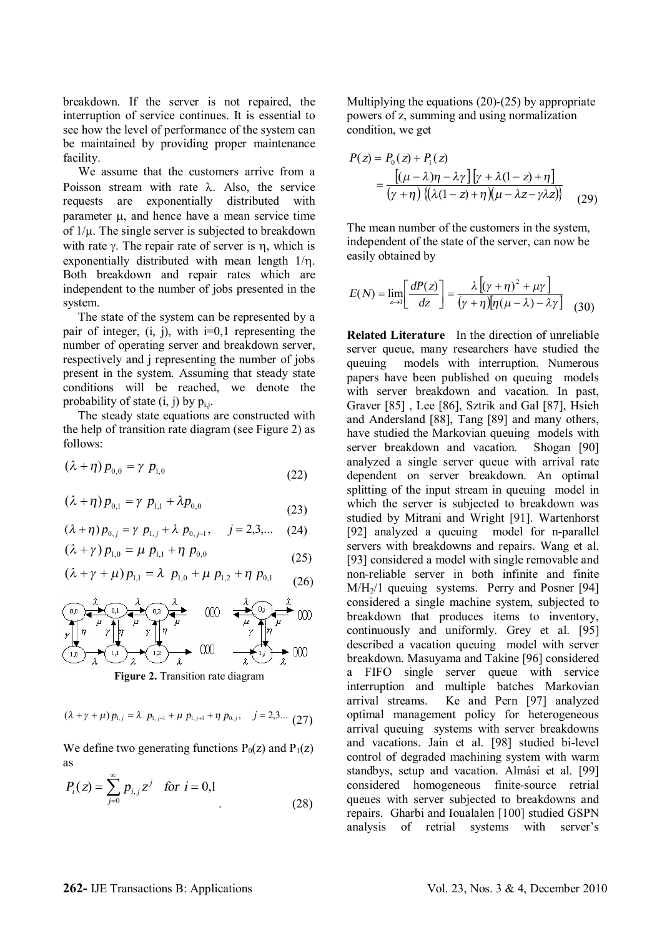breakdown. If the server is not repaired, the interruption of service continues. It is essential to see how the level of performance of the system can be maintained by providing proper maintenance facility.

 We assume that the customers arrive from a Poisson stream with rate  $\lambda$ . Also, the service requests are exponentially distributed with parameter  $\mu$ , and hence have a mean service time of  $1/\mu$ . The single server is subjected to breakdown with rate  $\gamma$ . The repair rate of server is  $\eta$ , which is exponentially distributed with mean length  $1/\eta$ . Both breakdown and repair rates which are independent to the number of jobs presented in the system.

 The state of the system can be represented by a pair of integer,  $(i, j)$ , with  $i=0,1$  representing the number of operating server and breakdown server, respectively and j representing the number of jobs present in the system. Assuming that steady state conditions will be reached, we denote the probability of state  $(i, j)$  by  $p_{i,j}$ .

 The steady state equations are constructed with the help of transition rate diagram (see Figure 2) as follows:

$$
(\lambda + \eta) p_{0,0} = \gamma p_{1,0}
$$
 (22)

$$
(\lambda + \eta) p_{0,1} = \gamma p_{1,1} + \lambda p_{0,0}
$$
 (23)

$$
(\lambda + \eta) p_{0,j} = \gamma p_{1,j} + \lambda p_{0,j-1}, \quad j = 2,3,... \quad (24)
$$

$$
(\lambda + \gamma) p_{1,0} = \mu p_{1,1} + \eta p_{0,0}
$$
 (25)

$$
(\lambda + \gamma + \mu) p_{1,1} = \lambda p_{1,0} + \mu p_{1,2} + \eta p_{0,1}
$$
 (26)

$$
\begin{array}{ccc}\n\begin{array}{ccc}\n\textcircled{0} & \lambda & \textcircled{0} & \lambda \\
\hline\n\end{array} & \begin{array}{ccc}\n\textcircled{0} & \lambda & \textcircled{0} & \lambda \\
\hline\n\end{array} & \begin{array}{ccc}\n\textcircled{0} & \lambda & \textcircled{0} & \lambda \\
\hline\n\end{array} & \begin{array}{ccc}\n\textcircled{0} & \lambda & \textcircled{0} & \lambda \\
\hline\n\end{array} & \begin{array}{ccc}\n\textcircled{0} & \lambda & \textcircled{0} & \lambda \\
\hline\n\end{array} & \begin{array}{ccc}\n\textcircled{0} & \lambda & \textcircled{0} & \lambda \\
\hline\n\end{array} & \begin{array}{ccc}\n\textcircled{0} & \lambda & \textcircled{0} & \lambda \\
\hline\n\end{array} & \begin{array}{ccc}\n\textcircled{0} & \lambda & \textcircled{0} & \lambda \\
\hline\n\end{array} & \begin{array}{ccc}\n\textcircled{0} & \lambda & \textcircled{0} & \lambda \\
\hline\n\end{array} & \begin{array}{ccc}\n\textcircled{0} & \lambda & \textcircled{0} & \lambda \\
\hline\n\end{array} & \begin{array}{ccc}\n\textcircled{0} & \lambda & \textcircled{0} & \lambda \\
\hline\n\end{array} & \begin{array}{ccc}\n\textcircled{0} & \lambda & \textcircled{0} & \lambda \\
\hline\n\end{array} & \begin{array}{ccc}\n\textcircled{0} & \lambda & \textcircled{0} & \lambda \\
\hline\n\end{array} & \begin{array}{ccc}\n\textcircled{0} & \lambda & \textcircled{0} & \lambda \\
\hline\n\end{array} & \begin{array}{ccc}\n\textcircled{0} & \lambda & \textcircled{0} & \lambda \\
\hline\n\end{array} & \begin{array}{ccc}\n\textcircled{0} & \lambda & \textcircled{0} &
$$

**Figure 2.** Transition rate diagram

$$
(\lambda + \gamma + \mu) p_{1,j} = \lambda p_{1,j-1} + \mu p_{1,j+1} + \eta p_{0,j}, \quad j = 2,3... (27)
$$

We define two generating functions  $P_0(z)$  and  $P_1(z)$ as

$$
P_i(z) = \sum_{j=0}^{\infty} p_{i,j} z^j \quad \text{for } i = 0,1
$$
 (28)

Multiplying the equations (20)-(25) by appropriate powers of z, summing and using normalization condition, we get

$$
P(z) = P_0(z) + P_1(z)
$$
  
= 
$$
\frac{\left[ (\mu - \lambda)\eta - \lambda\gamma \right] \left[ \gamma + \lambda(1 - z) + \eta \right]}{(\gamma + \eta) \left\{ (\lambda(1 - z) + \eta)(\mu - \lambda z - \gamma\lambda z) \right\}}
$$
 (29)

The mean number of the customers in the system, independent of the state of the server, can now be easily obtained by

$$
E(N) = \lim_{z \to 1} \left[ \frac{dP(z)}{dz} \right] = \frac{\lambda \left[ (\gamma + \eta)^2 + \mu \gamma \right]}{(\gamma + \eta) [\eta (\mu - \lambda) - \lambda \gamma]}
$$
(30)

**Related Literature** In the direction of unreliable server queue, many researchers have studied the queuing models with interruption. Numerous papers have been published on queuing models with server breakdown and vacation. In past, Graver [85] , Lee [86], Sztrik and Gal [87], Hsieh and Andersland [88], Tang [89] and many others, have studied the Markovian queuing models with server breakdown and vacation. Shogan [90] analyzed a single server queue with arrival rate dependent on server breakdown. An optimal splitting of the input stream in queuing model in which the server is subjected to breakdown was studied by Mitrani and Wright [91]. Wartenhorst [92] analyzed a queuing model for n-parallel servers with breakdowns and repairs. Wang et al. [93] considered a model with single removable and non-reliable server in both infinite and finite  $M/H<sub>2</sub>/1$  queuing systems. Perry and Posner [94] considered a single machine system, subjected to breakdown that produces items to inventory, continuously and uniformly. Grey et al. [95] described a vacation queuing model with server breakdown. Masuyama and Takine [96] considered a FIFO single server queue with service interruption and multiple batches Markovian arrival streams. Ke and Pern [97] analyzed optimal management policy for heterogeneous arrival queuing systems with server breakdowns and vacations. Jain et al. [98] studied bi-level control of degraded machining system with warm standbys, setup and vacation. Almási et al. [99] considered homogeneous finite-source retrial queues with server subjected to breakdowns and repairs. Gharbi and Ioualalen [100] studied GSPN analysis of retrial systems with server's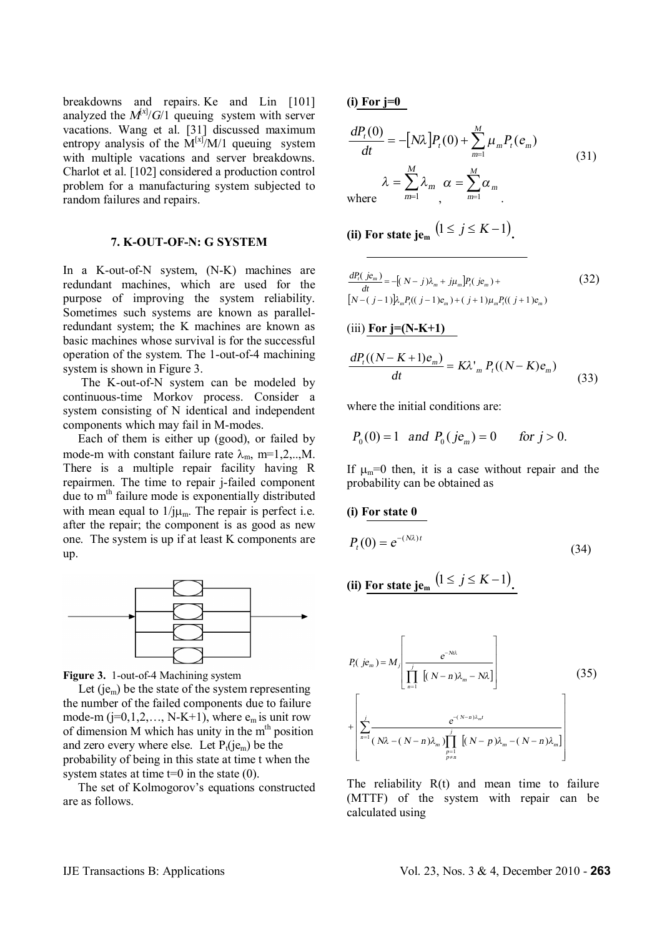breakdowns and repairs. Ke and Lin [101] analyzed the  $M^{x/2}/G/1$  queuing system with server vacations. Wang et al. [31] discussed maximum entropy analysis of the  $M^{[x]}/M/1$  queuing system with multiple vacations and server breakdowns. Charlot et al. [102] considered a production control problem for a manufacturing system subjected to random failures and repairs.

#### **7. K-OUT-OF-N: G SYSTEM**

In a K-out-of-N system, (N-K) machines are redundant machines, which are used for the purpose of improving the system reliability. Sometimes such systems are known as parallelredundant system; the K machines are known as basic machines whose survival is for the successful operation of the system. The 1-out-of-4 machining system is shown in Figure 3.

 The K-out-of-N system can be modeled by continuous-time Morkov process. Consider a system consisting of N identical and independent components which may fail in M-modes.

 Each of them is either up (good), or failed by mode-m with constant failure rate  $\lambda_m$ , m=1,2,..,M. There is a multiple repair facility having R repairmen. The time to repair j-failed component due to  $m<sup>th</sup>$  failure mode is exponentially distributed with mean equal to  $1/\mu_m$ . The repair is perfect i.e. after the repair; the component is as good as new one. The system is up if at least K components are up.





Let  $(ie<sub>m</sub>)$  be the state of the system representing the number of the failed components due to failure mode-m  $(i=0,1,2,..., N-K+1)$ , where  $e_m$  is unit row of dimension  $M$  which has unity in the m<sup>th</sup> position and zero every where else. Let  $P_t(i\varepsilon_m)$  be the probability of being in this state at time t when the system states at time  $t=0$  in the state  $(0)$ .

 The set of Kolmogorov's equations constructed are as follows.

**(i) For j=0** 

$$
\frac{dP_t(0)}{dt} = -[N\lambda]P_t(0) + \sum_{m=1}^{M} \mu_m P_t(e_m)
$$
  
\n
$$
\lambda = \sum_{m=1}^{M} \lambda_m \alpha = \sum_{m=1}^{M} \alpha_m
$$
 (31)

**(ii)** For state  $j$ **e**<sup>m</sup>  $(1 \le j \le K-1)$ .

$$
\frac{dP_t(je_m)}{dt} = -[(N-j)\lambda_m + j\mu_m]P_t(je_m) +
$$
\n
$$
[N - (j-1)]\lambda_m P_t((j-1)e_m) + (j+1)\mu_m P_t((j+1)e_m)
$$
\n(32)

$$
(iii) For j=(N-K+1)
$$

$$
\frac{dP_t((N-K+1)e_m)}{dt} = K\lambda'_{m} P_t((N-K)e_m)
$$
\n(33)

where the initial conditions are:

$$
P_0(0) = 1
$$
 and  $P_0(je_m) = 0$  for  $j > 0$ .

If  $\mu_m=0$  then, it is a case without repair and the probability can be obtained as

#### **(i) For state 0**

$$
P_t(0) = e^{-(N\lambda)t} \tag{34}
$$

(ii) For state 
$$
j e_m
$$
  $(1 \le j \le K - 1)$ .

$$
P_{t}(j e_{m}) = M_{j} \left[ \frac{e^{-N t \lambda}}{\prod_{n=1}^{j} [(N-n) \lambda_{m} - N \lambda]} \right]
$$
\n
$$
+ \left[ \sum_{n=1}^{j} \frac{e^{-(N-n) \lambda_{m} t}}{(N \lambda - (N-n) \lambda_{m}) \prod_{\substack{p=1 \ p \neq n}}^{j} [(N-p) \lambda_{m} - (N-n) \lambda_{m}]} \right]
$$
\n(35)

The reliability  $R(t)$  and mean time to failure (MTTF) of the system with repair can be calculated using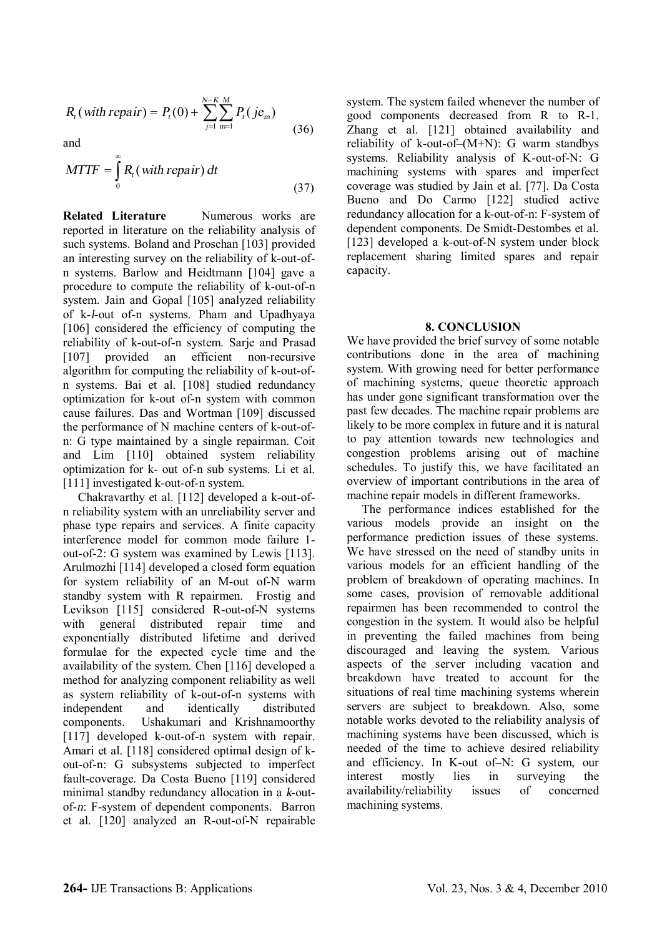$$
R_{t}(with repair) = P_{t}(0) + \sum_{j=1}^{N-K} \sum_{m=1}^{M} P_{t}(je_{m})
$$
\n(36)

and

$$
MTTF = \int_{0}^{\infty} R_t \left( \text{with repair} \right) dt \tag{37}
$$

**Related Literature Numerous works are** reported in literature on the reliability analysis of such systems. Boland and Proschan [103] provided an interesting survey on the reliability of k-out-ofn systems. Barlow and Heidtmann [104] gave a procedure to compute the reliability of k-out-of-n system. Jain and Gopal [105] analyzed reliability of k-*l*-out of-n systems. Pham and Upadhyaya [106] considered the efficiency of computing the reliability of k-out-of-n system. Sarje and Prasad [107] provided an efficient non-recursive algorithm for computing the reliability of k-out-ofn systems. Bai et al. [108] studied redundancy optimization for k-out of-n system with common cause failures. Das and Wortman [109] discussed the performance of N machine centers of k-out-ofn: G type maintained by a single repairman. Coit and Lim [110] obtained system reliability optimization for k- out of-n sub systems. Li et al. [111] investigated k-out-of-n system.

 Chakravarthy et al. [112] developed a k-out-ofn reliability system with an unreliability server and phase type repairs and services. A finite capacity interference model for common mode failure 1 out-of-2: G system was examined by Lewis [113]. Arulmozhi [114] developed a closed form equation for system reliability of an M-out of-N warm standby system with R repairmen. Frostig and Levikson [115] considered R-out-of-N systems with general distributed repair time and exponentially distributed lifetime and derived formulae for the expected cycle time and the availability of the system. Chen [116] developed a method for analyzing component reliability as well as system reliability of k-out-of-n systems with independent and identically distributed components. Ushakumari and Krishnamoorthy [117] developed k-out-of-n system with repair. Amari et al. [118] considered optimal design of kout-of-n: G subsystems subjected to imperfect fault-coverage. Da Costa Bueno [119] considered minimal standby redundancy allocation in a *k*-outof-*n*: F-system of dependent components. Barron et al. [120] analyzed an R-out-of-N repairable system. The system failed whenever the number of good components decreased from R to R-1. Zhang et al. [121] obtained availability and reliability of k-out-of–(M+N): G warm standbys systems. Reliability analysis of K-out-of-N: G machining systems with spares and imperfect coverage was studied by Jain et al. [77]. Da Costa Bueno and Do Carmo [122] studied active redundancy allocation for a k-out-of-n: F-system of dependent components. De Smidt-Destombes et al. [123] developed a k-out-of-N system under block replacement sharing limited spares and repair capacity.

# **8. CONCLUSION**

We have provided the brief survey of some notable contributions done in the area of machining system. With growing need for better performance of machining systems, queue theoretic approach has under gone significant transformation over the past few decades. The machine repair problems are likely to be more complex in future and it is natural to pay attention towards new technologies and congestion problems arising out of machine schedules. To justify this, we have facilitated an overview of important contributions in the area of machine repair models in different frameworks.

 The performance indices established for the various models provide an insight on the performance prediction issues of these systems. We have stressed on the need of standby units in various models for an efficient handling of the problem of breakdown of operating machines. In some cases, provision of removable additional repairmen has been recommended to control the congestion in the system. It would also be helpful in preventing the failed machines from being discouraged and leaving the system. Various aspects of the server including vacation and breakdown have treated to account for the situations of real time machining systems wherein servers are subject to breakdown. Also, some notable works devoted to the reliability analysis of machining systems have been discussed, which is needed of the time to achieve desired reliability and efficiency. In K-out of–N: G system, our interest mostly lies in surveying the availability/reliability issues of concerned machining systems.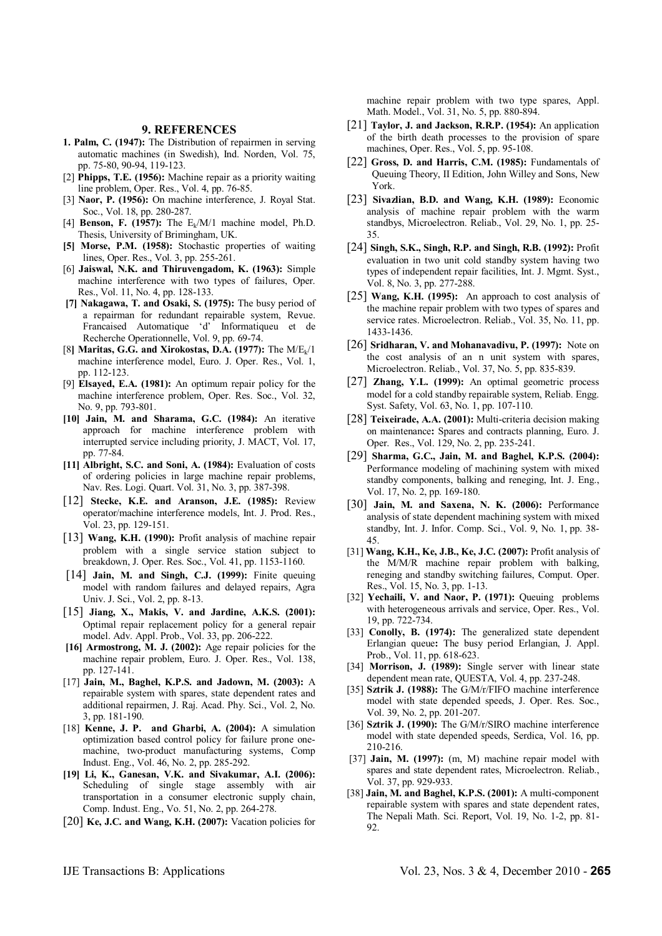#### **9. REFERENCES**

- **1. Palm, C. (1947):** The Distribution of repairmen in serving automatic machines (in Swedish), Ind. Norden, Vol. 75, pp. 75-80, 90-94, 119-123.
- [2] **Phipps, T.E. (1956):** Machine repair as a priority waiting line problem, Oper. Res., Vol. 4, pp. 76-85.
- [3] **Naor, P. (1956):** On machine interference, J. Royal Stat. Soc., Vol. 18, pp. 280-287.
- [4] **Benson, F. (1957):** The Ek/M/1 machine model, Ph.D. Thesis, University of Brimingham, UK.
- **[5] Morse, P.M. (1958):** Stochastic properties of waiting lines, Oper. Res., Vol. 3, pp. 255-261.
- [6] **Jaiswal, N.K. and Thiruvengadom, K. (1963):** Simple machine interference with two types of failures, Oper. Res., Vol. 11, No. 4, pp. 128-133.
- **[7] Nakagawa, T. and Osaki, S. (1975):** The busy period of a repairman for redundant repairable system, Revue. Francaised Automatique 'd' Informatiqueu et de Recherche Operationnelle, Vol. 9, pp. 69-74.
- [8**] Maritas, G.G. and Xirokostas, D.A. (1977):** The M/Ek/1 machine interference model, Euro. J. Oper. Res., Vol. 1, pp. 112-123.
- [9] **Elsayed, E.A. (1981):** An optimum repair policy for the machine interference problem, Oper. Res. Soc., Vol. 32, No. 9, pp. 793-801.
- **[10] Jain, M. and Sharama, G.C. (1984):** An iterative approach for machine interference problem with interrupted service including priority, J. MACT, Vol. 17, pp. 77-84.
- **[11] Albright, S.C. and Soni, A. (1984):** Evaluation of costs of ordering policies in large machine repair problems, Nav. Res. Logi. Quart. Vol. 31, No. 3, pp. 387-398.
- [12] **Stecke, K.E. and Aranson, J.E. (1985):** Review operator/machine interference models, Int. J. Prod. Res., Vol. 23, pp. 129-151.
- [13] **Wang, K.H. (1990):** Profit analysis of machine repair problem with a single service station subject to breakdown, J. Oper. Res. Soc., Vol. 41, pp. 1153-1160.
- [14] **Jain, M. and Singh, C.J. (1999):** Finite queuing model with random failures and delayed repairs, Agra Univ. J. Sci., Vol. 2, pp. 8-13.
- [15] **Jiang, X., Makis, V. and Jardine, A.K.S. (2001):** Optimal repair replacement policy for a general repair model. Adv. Appl. Prob., Vol. 33, pp. 206-222.
- **[16] Armostrong, M. J. (2002):** Age repair policies for the machine repair problem, Euro. J. Oper. Res., Vol. 138, pp. 127-141.
- [17] **Jain, M., Baghel, K.P.S. and Jadown, M. (2003):** A repairable system with spares, state dependent rates and additional repairmen, J. Raj. Acad. Phy. Sci., Vol. 2, No. 3, pp. 181-190.
- [18] **Kenne, J. P. and Gharbi, A. (2004):** A simulation optimization based control policy for failure prone onemachine, two-product manufacturing systems, Comp Indust. Eng., Vol. 46, No. 2, pp. 285-292.
- **[19] Li, K., Ganesan, V.K. and Sivakumar, A.I. (2006):**  Scheduling of single stage assembly with air transportation in a consumer electronic supply chain, Comp. Indust. Eng., Vo. 51, No. 2, pp. 264-278.
- [20] **Ke, J.C. and Wang, K.H. (2007):** Vacation policies for

machine repair problem with two type spares, Appl. Math. Model., Vol. 31, No. 5, pp. 880-894.

- [21] **Taylor, J. and Jackson, R.R.P. (1954):** An application of the birth death processes to the provision of spare machines, Oper. Res., Vol. 5, pp. 95-108.
- [22] **Gross, D. and Harris, C.M. (1985):** Fundamentals of Queuing Theory, II Edition, John Willey and Sons, New York.
- [23] **Sivazlian, B.D. and Wang, K.H. (1989):** Economic analysis of machine repair problem with the warm standbys, Microelectron. Reliab., Vol. 29, No. 1, pp. 25- 35.
- [24] **Singh, S.K., Singh, R.P. and Singh, R.B. (1992):** Profit evaluation in two unit cold standby system having two types of independent repair facilities, Int. J. Mgmt. Syst., Vol. 8, No. 3, pp. 277-288.
- [25] **Wang, K.H. (1995):** An approach to cost analysis of the machine repair problem with two types of spares and service rates. Microelectron. Reliab., Vol. 35, No. 11, pp. 1433-1436.
- [26] **Sridharan, V. and Mohanavadivu, P. (1997):** Note on the cost analysis of an n unit system with spares, Microelectron. Reliab., Vol. 37, No. 5, pp. 835-839.
- [27] **Zhang, Y.L. (1999):** An optimal geometric process model for a cold standby repairable system, Reliab. Engg. Syst. Safety, Vol. 63, No. 1, pp. 107-110.
- [28] **Teixeirade, A.A. (2001):** Multi-criteria decision making on maintenance**:** Spares and contracts planning, Euro. J. Oper. Res., Vol. 129, No. 2, pp. 235-241.
- [29] **Sharma, G.C., Jain, M. and Baghel, K.P.S. (2004):**  Performance modeling of machining system with mixed standby components, balking and reneging, Int. J. Eng., Vol. 17, No. 2, pp. 169-180.
- [30] **Jain, M. and Saxena, N. K. (2006):** Performance analysis of state dependent machining system with mixed standby, Int. J. Infor. Comp. Sci., Vol. 9, No. 1, pp. 38- 45.
- [31] **Wang, K.H., Ke, J.B., Ke, J.C. (2007):** Profit analysis of the M/M/R machine repair problem with balking, reneging and standby switching failures, Comput. Oper. Res., Vol. 15, No. 3, pp. 1-13.
- [32] **Yechaili, V. and Naor, P. (1971):** Queuing problems with heterogeneous arrivals and service, Oper. Res., Vol. 19, pp. 722-734.
- [33] **Conolly, B. (1974):** The generalized state dependent Erlangian queue**:** The busy period Erlangian, J. Appl. Prob., Vol. 11, pp. 618-623.
- [34] **Morrison, J. (1989):** Single server with linear state dependent mean rate, QUESTA, Vol. 4, pp. 237-248.
- [35] **Sztrik J. (1988):** The G/M/r/FIFO machine interference model with state depended speeds, J. Oper. Res. Soc., Vol. 39, No. 2, pp. 201-207.
- [36] **Sztrik J. (1990):** The G/M/r/SIRO machine interference model with state depended speeds, Serdica, Vol. 16, pp. 210-216.
- [37] **Jain, M. (1997):** (m, M) machine repair model with spares and state dependent rates, Microelectron. Reliab., Vol. 37, pp. 929-933.
- [38] **Jain, M. and Baghel, K.P.S. (2001):** A multi-component repairable system with spares and state dependent rates, The Nepali Math. Sci. Report, Vol. 19, No. 1-2, pp. 81- 92.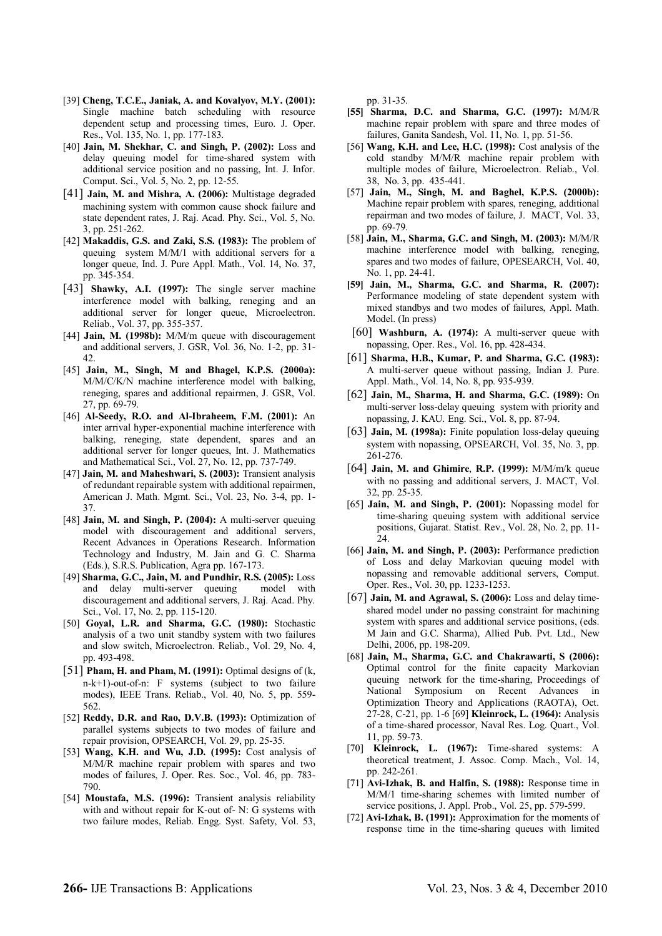- [39] **Cheng, T.C.E., Janiak, A. and Kovalyov, M.Y. (2001):** Single machine batch scheduling with resource dependent setup and processing times, Euro. J. Oper. Res., Vol. 135, No. 1, pp. 177-183.
- [40] **Jain, M. Shekhar, C. and Singh, P. (2002):** Loss and delay queuing model for time-shared system with additional service position and no passing, Int. J. Infor. Comput. Sci., Vol. 5, No. 2, pp. 12-55.
- [41] **Jain, M. and Mishra, A. (2006):** Multistage degraded machining system with common cause shock failure and state dependent rates, J. Raj. Acad. Phy. Sci., Vol. 5, No. 3, pp. 251-262.
- [42] **Makaddis, G.S. and Zaki, S.S. (1983):** The problem of queuing system M/M/1 with additional servers for a longer queue, Ind. J. Pure Appl. Math., Vol. 14, No. 37, pp. 345-354.
- [43] **Shawky, A.I. (1997):** The single server machine interference model with balking, reneging and an additional server for longer queue, Microelectron. Reliab., Vol. 37, pp. 355-357.
- [44] **Jain, M. (1998b):** M/M/m queue with discouragement and additional servers, J. GSR, Vol. 36, No. 1-2, pp. 31- 42.
- [45] **Jain, M., Singh, M and Bhagel, K.P.S. (2000a):**  M/M/C/K/N machine interference model with balking, reneging, spares and additional repairmen, J. GSR, Vol. 27, pp. 69-79.
- [46] **Al-Seedy, R.O. and Al-Ibraheem, F.M. (2001):** An inter arrival hyper-exponential machine interference with balking, reneging, state dependent, spares and an additional server for longer queues, Int. J. Mathematics and Mathematical Sci., Vol. 27, No. 12, pp. 737-749.
- [47] **Jain, M. and Maheshwari, S. (2003):** Transient analysis of redundant repairable system with additional repairmen, American J. Math. Mgmt. Sci., Vol. 23, No. 3-4, pp. 1- 37.
- [48] **Jain, M. and Singh, P. (2004):** A multi-server queuing model with discouragement and additional servers, Recent Advances in Operations Research. Information Technology and Industry, M. Jain and G. C. Sharma (Eds.), S.R.S. Publication, Agra pp. 167-173.
- [49] **Sharma, G.C., Jain, M. and Pundhir, R.S. (2005):** Loss and delay multi-server queuing model with discouragement and additional servers, J. Raj. Acad. Phy. Sci., Vol. 17, No. 2, pp. 115-120.
- [50] **Goyal, L.R. and Sharma, G.C. (1980):** Stochastic analysis of a two unit standby system with two failures and slow switch, Microelectron. Reliab., Vol. 29, No. 4, pp. 493-498.
- [51] **Pham, H. and Pham, M. (1991):** Optimal designs of (k, n-k+1)-out-of-n: F systems (subject to two failure modes), IEEE Trans. Reliab., Vol. 40, No. 5, pp. 559- 562.
- [52] **Reddy, D.R. and Rao, D.V.B. (1993):** Optimization of parallel systems subjects to two modes of failure and repair provision, OPSEARCH, Vol. 29, pp. 25-35.
- [53] **Wang, K.H. and Wu, J.D. (1995):** Cost analysis of M/M/R machine repair problem with spares and two modes of failures, J. Oper. Res. Soc., Vol. 46, pp. 783- 790.
- [54] **Moustafa, M.S. (1996):** Transient analysis reliability with and without repair for K-out of- N: G systems with two failure modes, Reliab. Engg. Syst. Safety, Vol. 53,

pp. 31-35.

- **[55] Sharma, D.C. and Sharma, G.C. (1997):** M/M/R machine repair problem with spare and three modes of failures, Ganita Sandesh, Vol. 11, No. 1, pp. 51-56.
- [56] **Wang, K.H. and Lee, H.C. (1998):** Cost analysis of the cold standby M/M/R machine repair problem with multiple modes of failure, Microelectron. Reliab., Vol. 38, No. 3, pp. 435-441.
- [57] **Jain, M., Singh, M. and Baghel, K.P.S. (2000b):** Machine repair problem with spares, reneging, additional repairman and two modes of failure, J. MACT, Vol. 33, pp. 69-79.
- [58] **Jain, M., Sharma, G.C. and Singh, M. (2003):** M/M/R machine interference model with balking, reneging, spares and two modes of failure, OPESEARCH, Vol. 40, No. 1, pp. 24-41.
- **[59] Jain, M., Sharma, G.C. and Sharma, R. (2007):** Performance modeling of state dependent system with mixed standbys and two modes of failures, Appl. Math. Model. (In press)
- [60] **Washburn, A. (1974):** A multi-server queue with nopassing, Oper. Res., Vol. 16, pp. 428-434.
- [61] **Sharma, H.B., Kumar, P. and Sharma, G.C. (1983):** A multi-server queue without passing, Indian J. Pure. Appl. Math., Vol. 14, No. 8, pp. 935-939.
- [62] **Jain, M., Sharma, H. and Sharma, G.C. (1989):** On multi-server loss-delay queuing system with priority and nopassing, J. KAU. Eng. Sci., Vol. 8, pp. 87-94.
- [63] **Jain, M. (1998a):** Finite population loss-delay queuing system with nopassing, OPSEARCH, Vol. 35, No. 3, pp. 261-276.
- [64] **Jain, M. and Ghimire**, **R.P. (1999):** M/M/m/k queue with no passing and additional servers, J. MACT, Vol. 32, pp. 25-35.
- [65] **Jain, M. and Singh, P. (2001):** Nopassing model for time-sharing queuing system with additional service positions, Gujarat. Statist. Rev., Vol. 28, No. 2, pp. 11- 24.
- [66] **Jain, M. and Singh, P. (2003):** Performance prediction of Loss and delay Markovian queuing model with nopassing and removable additional servers, Comput. Oper. Res., Vol. 30, pp. 1233-1253.
- [67] **Jain, M. and Agrawal, S. (2006):** Loss and delay timeshared model under no passing constraint for machining system with spares and additional service positions, (eds. M Jain and G.C. Sharma), Allied Pub. Pvt. Ltd., New Delhi, 2006, pp. 198-209.
- [68] **Jain, M., Sharma, G.C. and Chakrawarti, S (2006):** Optimal control for the finite capacity Markovian queuing network for the time-sharing, Proceedings of National Symposium on Recent Advances in Optimization Theory and Applications (RAOTA), Oct. 27-28, C-21, pp. 1-6 [69] **Kleinrock, L. (1964):** Analysis of a time-shared processor, Naval Res. Log. Quart., Vol. 11, pp. 59-73.
- [70] **Kleinrock, L. (1967):** Time-shared systems: A theoretical treatment, J. Assoc. Comp. Mach., Vol. 14, pp. 242-261.
- [71] **Avi-Izhak, B. and Halfin, S. (1988):** Response time in M/M/1 time-sharing schemes with limited number of service positions, J. Appl. Prob., Vol. 25, pp. 579-599.
- [72] **Avi-Izhak, B. (1991):** Approximation for the moments of response time in the time-sharing queues with limited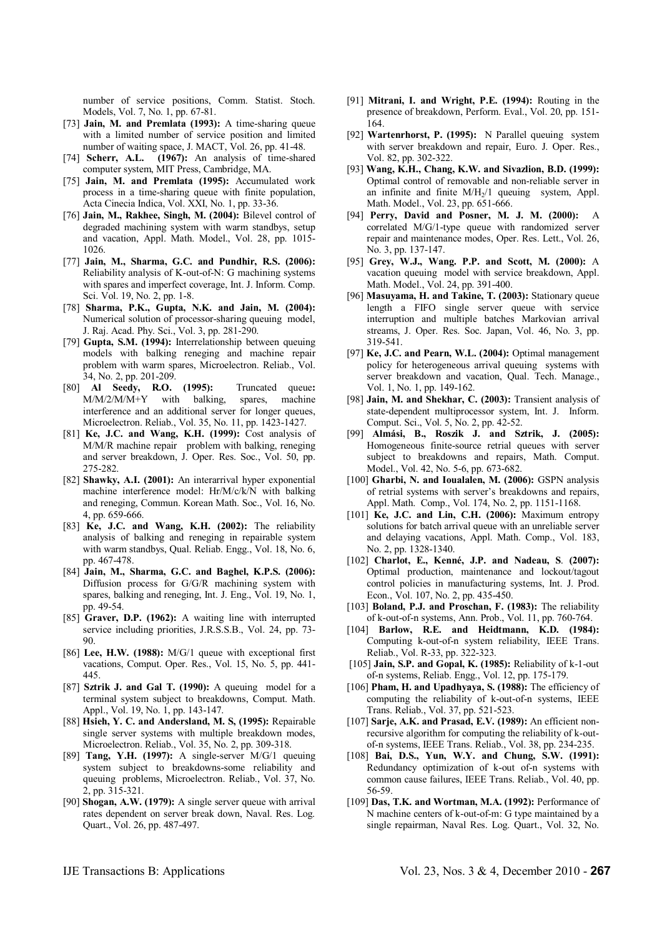number of service positions, Comm. Statist. Stoch. Models, Vol. 7, No. 1, pp. 67-81.

- [73] **Jain, M. and Premlata (1993):** A time-sharing queue with a limited number of service position and limited number of waiting space, J. MACT, Vol. 26, pp. 41-48.
- [74] **Scherr, A.L. (1967):** An analysis of time-shared computer system, MIT Press, Cambridge, MA.
- [75] **Jain, M. and Premlata (1995):** Accumulated work process in a time-sharing queue with finite population, Acta Cinecia Indica, Vol. XXI, No. 1, pp. 33-36.
- [76] **Jain, M., Rakhee, Singh, M. (2004):** Bilevel control of degraded machining system with warm standbys, setup and vacation, Appl. Math. Model., Vol. 28, pp. 1015- 1026.
- [77] **Jain, M., Sharma, G.C. and Pundhir, R.S. (2006):**  Reliability analysis of K-out-of-N: G machining systems with spares and imperfect coverage, Int. J. Inform. Comp. Sci. Vol. 19, No. 2, pp. 1-8.
- [78] **Sharma, P.K., Gupta, N.K. and Jain, M. (2004):**  Numerical solution of processor-sharing queuing model, J. Raj. Acad. Phy. Sci., Vol. 3, pp. 281-290.
- [79] **Gupta, S.M. (1994):** Interrelationship between queuing models with balking reneging and machine repair problem with warm spares, Microelectron. Reliab., Vol. 34, No. 2, pp. 201-209.
- [80] **Al Seedy, R.O. (1995):** Truncated queue**:** M/M/2/M/M+Y with balking, spares, machine interference and an additional server for longer queues, Microelectron. Reliab., Vol. 35, No. 11, pp. 1423-1427.
- [81] **Ke, J.C. and Wang, K.H. (1999):** Cost analysis of M/M/R machine repair problem with balking, reneging and server breakdown, J. Oper. Res. Soc., Vol. 50, pp. 275-282.
- [82] **Shawky, A.I. (2001):** An interarrival hyper exponential machine interference model: Hr/M/c/k/N with balking and reneging, Commun. Korean Math. Soc., Vol. 16, No. 4, pp. 659-666.
- [83] **Ke, J.C. and Wang, K.H. (2002):** The reliability analysis of balking and reneging in repairable system with warm standbys, Qual. Reliab. Engg., Vol. 18, No. 6, pp. 467-478.
- [84] **Jain, M., Sharma, G.C. and Baghel, K.P.S. (2006):** Diffusion process for G/G/R machining system with spares, balking and reneging, Int. J. Eng., Vol. 19, No. 1, pp. 49-54.
- [85] **Graver, D.P. (1962):** A waiting line with interrupted service including priorities, J.R.S.S.B., Vol. 24, pp. 73-90.
- [86] **Lee, H.W. (1988):** M/G/1 queue with exceptional first vacations, Comput. Oper. Res., Vol. 15, No. 5, pp. 441- 445.
- [87] **Sztrik J. and Gal T. (1990):** A queuing model for a terminal system subject to breakdowns, Comput. Math. Appl., Vol. 19, No. 1, pp. 143-147.
- [88] **Hsieh, Y. C. and Andersland, M. S, (1995):** Repairable single server systems with multiple breakdown modes, Microelectron. Reliab., Vol. 35, No. 2, pp. 309-318.
- [89] **Tang, Y.H. (1997):** A single-server M/G/1 queuing system subject to breakdowns-some reliability and queuing problems, Microelectron. Reliab., Vol. 37, No. 2, pp. 315-321.
- [90] **Shogan, A.W. (1979):** A single server queue with arrival rates dependent on server break down, Naval. Res. Log. Quart., Vol. 26, pp. 487-497.
- [91] **Mitrani, I. and Wright, P.E. (1994):** Routing in the presence of breakdown, Perform. Eval., Vol. 20, pp. 151- 164.
- [92] **Wartenrhorst, P. (1995):** N Parallel queuing system with server breakdown and repair, Euro. J. Oper. Res., Vol. 82, pp. 302-322.
- [93] **Wang, K.H., Chang, K.W. and Sivazlion, B.D. (1999):**  Optimal control of removable and non-reliable server in an infinite and finite  $M/H_2/1$  queuing system, Appl. Math. Model., Vol. 23, pp. 651-666.
- [94] **Perry, David and Posner, M. J. M. (2000):** A correlated M/G/1-type queue with randomized server repair and maintenance modes, Oper. Res. Lett., Vol. 26, No. 3, pp. 137-147.
- [95] **Grey, W.J., Wang. P.P. and Scott, M. (2000):** A vacation queuing model with service breakdown, Appl. Math. Model., Vol. 24, pp. 391-400.
- [96] **Masuyama, H. and Takine, T. (2003):** Stationary queue length a FIFO single server queue with service interruption and multiple batches Markovian arrival streams, J. Oper. Res. Soc. Japan, Vol. 46, No. 3, pp. 319-541.
- [97] **Ke, J.C. and Pearn, W.L. (2004):** Optimal management policy for heterogeneous arrival queuing systems with server breakdown and vacation, Qual. Tech. Manage., Vol. 1, No. 1, pp. 149-162.
- [98] **Jain, M. and Shekhar, C. (2003):** Transient analysis of state-dependent multiprocessor system, Int. J. Inform. Comput. Sci., Vol. 5, No. 2, pp. 42-52.
- [99] **Almási, B., Roszik J. and Sztrik, J. (2005):**  Homogeneous finite-source retrial queues with server subject to breakdowns and repairs, Math. Comput. Model., Vol. 42, No. 5-6, pp. 673-682.
- [100] **Gharbi, N. and Ioualalen, M. (2006):** GSPN analysis of retrial systems with server's breakdowns and repairs, Appl. Math. Comp., Vol. 174, No. 2, pp. 1151-1168.
- [101] **Ke, J.C. and Lin, C.H. (2006):** Maximum entropy solutions for batch arrival queue with an unreliable server and delaying vacations, Appl. Math. Comp., Vol. 183, No. 2, pp. 1328-1340.
- [102] **Charlot, E., Kenné, J.P. and Nadeau, S**. **(2007):** Optimal production, maintenance and lockout/tagout control policies in manufacturing systems, Int. J. Prod. Econ., Vol. 107, No. 2, pp. 435-450.
- [103] **Boland, P.J. and Proschan, F. (1983):** The reliability of k-out-of-n systems, Ann. Prob., Vol. 11, pp. 760-764.
- [104] **Barlow, R.E. and Heidtmann, K.D. (1984):**  Computing k-out-of-n system reliability, IEEE Trans. Reliab., Vol. R-33, pp. 322-323.
- [105] **Jain, S.P. and Gopal, K. (1985):** Reliability of k-1-out of-n systems, Reliab. Engg., Vol. 12, pp. 175-179.
- [106] **Pham, H. and Upadhyaya, S. (1988):** The efficiency of computing the reliability of k-out-of-n systems, IEEE Trans. Reliab., Vol. 37, pp. 521-523.
- [107] **Sarje, A.K. and Prasad, E.V. (1989):** An efficient nonrecursive algorithm for computing the reliability of k-outof-n systems, IEEE Trans. Reliab., Vol. 38, pp. 234-235.
- [108] **Bai, D.S., Yun, W.Y. and Chung, S.W. (1991):** Redundancy optimization of k-out of-n systems with common cause failures, IEEE Trans. Reliab., Vol. 40, pp. 56-59.
- [109] **Das, T.K. and Wortman, M.A. (1992):** Performance of N machine centers of k-out-of-m: G type maintained by a single repairman, Naval Res. Log. Quart., Vol. 32, No.